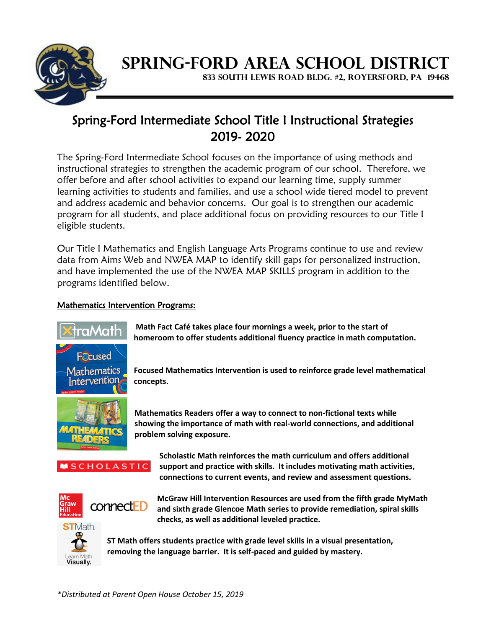

## **SPRING-FORD AREA SCHOOL DISTRICT**

**833 SOUTH LEWIS ROAD BLDG. #2, ROYERSFORD, PA 19468**

## Spring-Ford Intermediate School Title I Instructional Strategies 2019- 2020

The Spring-Ford Intermediate School focuses on the importance of using methods and instructional strategies to strengthen the academic program of our school. Therefore, we offer before and after school activities to expand our learning time, supply summer learning activities to students and families, and use a school wide tiered model to prevent and address academic and behavior concerns. Our goal is to strengthen our academic program for all students, and place additional focus on providing resources to our Title I eligible students.

Our Title I Mathematics and English Language Arts Programs continue to use and review data from Aims Web and NWEA MAP to identify skill gaps for personalized instruction, and have implemented the use of the NWEA MAP SKILLS program in addition to the programs identified below.

## Mathematics Intervention Programs:



**Math Fact Café takes place four mornings a week, prior to the start of homeroom to offer students additional fluency practice in math computation.**

**Focused Mathematics Intervention is used to reinforce grade level mathematical concepts.**



**Mathematics Readers offer a way to connect to non-fictional texts while showing the importance of math with real-world connections, and additional problem solving exposure.** 



**Scholastic Math reinforces the math curriculum and offers additional support and practice with skills. It includes motivating math activities, connections to current events, and review and assessment questions.**



**McGraw Hill Intervention Resources are used from the fifth grade MyMath and sixth grade Glencoe Math series to provide remediation, spiral skills checks, as well as additional leveled practice.**



**ST Math offers students practice with grade level skills in a visual presentation, removing the language barrier. It is self-paced and guided by mastery.**